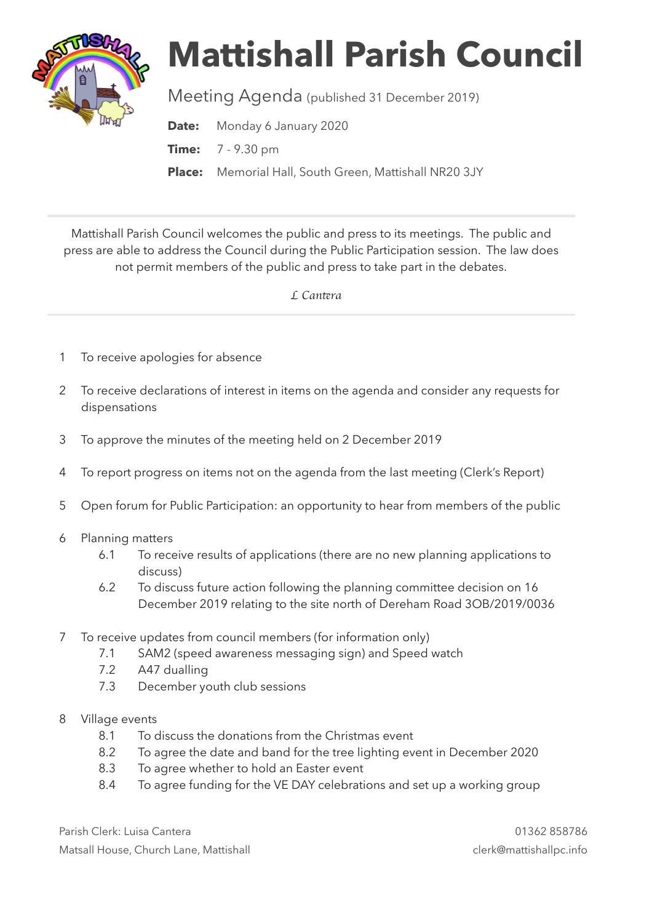

## **Mattishall Parish Council**

Meeting Agenda (published 31 December 2019)

**Date:** Monday 6 January 2020

**Time:** 7 - 9.30 pm

**Place:** Memorial Hall, South Green, Mattishall NR20 3JY

Mattishall Parish Council welcomes the public and press to its meetings. The public and press are able to address the Council during the Public Participation session. The law does not permit members of the public and press to take part in the debates.

 *L Can*t*ra* 

- 1 To receive apologies for absence
- 2 To receive declarations of interest in items on the agenda and consider any requests for dispensations
- 3 To approve the minutes of the meeting held on 2 December 2019
- 4 To report progress on items not on the agenda from the last meeting (Clerk's Report)
- 5 Open forum for Public Participation: an opportunity to hear from members of the public
- 6 Planning matters
	- 6.1 To receive results of applications (there are no new planning applications to discuss)
	- 6.2 To discuss future action following the planning committee decision on 16 December 2019 relating to the site north of Dereham Road 3OB/2019/0036
- 7 To receive updates from council members (for information only)
	- 7.1 SAM2 (speed awareness messaging sign) and Speed watch
	- 7.2 A47 dualling
	- 7.3 December youth club sessions
- 8 Village events
	- 8.1 To discuss the donations from the Christmas event
	- 8.2 To agree the date and band for the tree lighting event in December 2020
	- 8.3 To agree whether to hold an Easter event
	- 8.4 To agree funding for the VE DAY celebrations and set up a working group

Parish Clerk: Luisa Cantera 01362 858786 Matsall House, Church Lane, Mattishall clerk@mattishallpc.info